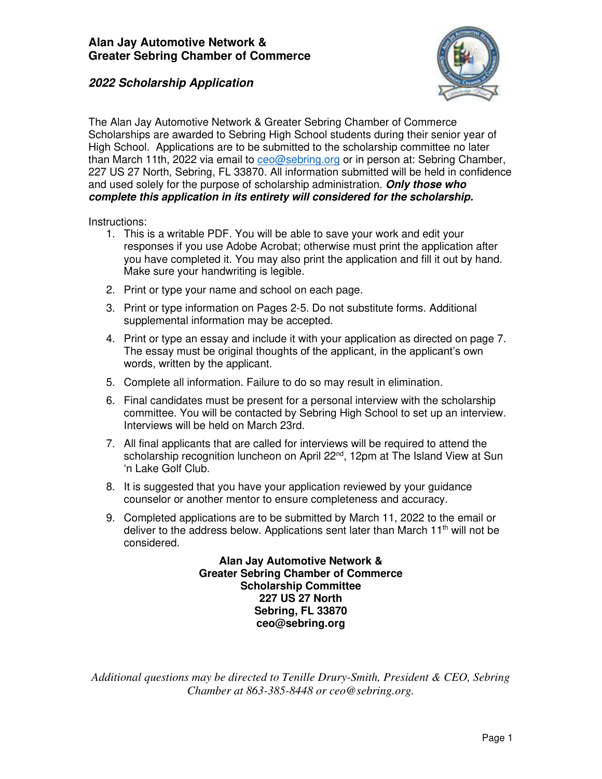

The Alan Jay Automotive Network & Greater Sebring Chamber of Commerce Scholarships are awarded to Sebring High School students during their senior year of High School. Applications are to be submitted to the scholarship committee no later than March 11th, 2022 via email to [ceo@sebring.org](mailto:ceo@sebring.org) or in person at: Sebring Chamber, 227 US 27 North, Sebring, FL 33870. All information submitted will be held in confidence and used solely for the purpose of scholarship administration. **Only those who complete this application in its entirety will considered for the scholarship.** 

Instructions:

- 1. This is a writable PDF. You will be able to save your work and edit your responses if you use Adobe Acrobat; otherwise must print the application after you have completed it. You may also print the application and fill it out by hand. Make sure your handwriting is legible.
- 2. Print or type your name and school on each page.
- 3. Print or type information on Pages 2-5. Do not substitute forms. Additional supplemental information may be accepted.
- 4. Print or type an essay and include it with your application as directed on page 7. The essay must be original thoughts of the applicant, in the applicant's own words, written by the applicant.
- 5. Complete all information. Failure to do so may result in elimination.
- 6. Final candidates must be present for a personal interview with the scholarship committee. You will be contacted by Sebring High School to set up an interview. Interviews will be held on March 23rd.
- 7. All final applicants that are called for interviews will be required to attend the scholarship recognition luncheon on April 22<sup>nd</sup>, 12pm at The Island View at Sun 'n Lake Golf Club.
- 8. It is suggested that you have your application reviewed by your guidance counselor or another mentor to ensure completeness and accuracy.
- 9. Completed applications are to be submitted by March 11, 2022 to the email or deliver to the address below. Applications sent later than March  $11<sup>th</sup>$  will not be considered.

**Alan Jay Automotive Network & Greater Sebring Chamber of Commerce Scholarship Committee 227 US 27 North Sebring, FL 33870 ceo@sebring.org**

*Additional questions may be directed to Tenille Drury-Smith, President & CEO, Sebring Chamber at 863-385-8448 or ceo@sebring.org.*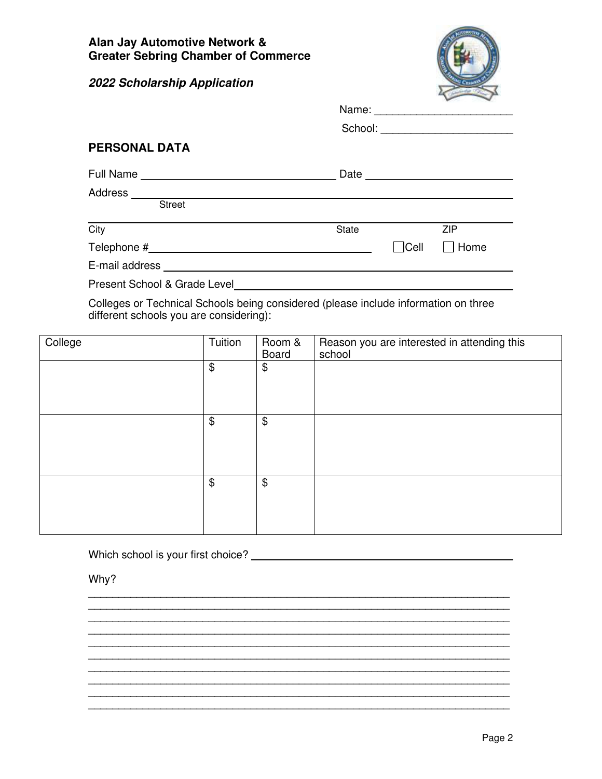

| Name: |  |  |  |  |  |  |  |
|-------|--|--|--|--|--|--|--|
|       |  |  |  |  |  |  |  |

| School: |  |  |  |  |  |
|---------|--|--|--|--|--|
|         |  |  |  |  |  |

#### **PERSONAL DATA**

| Full Name                | Date         |             |             |
|--------------------------|--------------|-------------|-------------|
| Address<br><b>Street</b> |              |             |             |
| City                     | <b>State</b> |             | <b>ZIP</b>  |
| Telephone #              |              | $\Box$ Cell | $\Box$ Home |
| E-mail address           |              |             |             |

Present School & Grade Level

Colleges or Technical Schools being considered (please include information on three different schools you are considering):

| College | Tuition               | Room &<br>Board | Reason you are interested in attending this<br>school |
|---------|-----------------------|-----------------|-------------------------------------------------------|
|         | \$                    | \$              |                                                       |
|         | $\boldsymbol{\theta}$ | \$              |                                                       |
|         | \$                    | \$              |                                                       |

\_\_\_\_\_\_\_\_\_\_\_\_\_\_\_\_\_\_\_\_\_\_\_\_\_\_\_\_\_\_\_\_\_\_\_\_\_\_\_\_\_\_\_\_\_\_\_\_\_\_\_\_\_\_\_\_\_\_\_\_\_\_\_\_\_\_\_\_\_\_  $\mathcal{L}_\text{max}$ \_\_\_\_\_\_\_\_\_\_\_\_\_\_\_\_\_\_\_\_\_\_\_\_\_\_\_\_\_\_\_\_\_\_\_\_\_\_\_\_\_\_\_\_\_\_\_\_\_\_\_\_\_\_\_\_\_\_\_\_\_\_\_\_\_\_\_\_\_\_ \_\_\_\_\_\_\_\_\_\_\_\_\_\_\_\_\_\_\_\_\_\_\_\_\_\_\_\_\_\_\_\_\_\_\_\_\_\_\_\_\_\_\_\_\_\_\_\_\_\_\_\_\_\_\_\_\_\_\_\_\_\_\_\_\_\_\_\_\_\_ \_\_\_\_\_\_\_\_\_\_\_\_\_\_\_\_\_\_\_\_\_\_\_\_\_\_\_\_\_\_\_\_\_\_\_\_\_\_\_\_\_\_\_\_\_\_\_\_\_\_\_\_\_\_\_\_\_\_\_\_\_\_\_\_\_\_\_\_\_\_

\_\_\_\_\_\_\_\_\_\_\_\_\_\_\_\_\_\_\_\_\_\_\_\_\_\_\_\_\_\_\_\_\_\_\_\_\_\_\_\_\_\_\_\_\_\_\_\_\_\_\_\_\_\_\_\_\_\_\_\_\_\_\_\_\_\_\_\_\_\_ \_\_\_\_\_\_\_\_\_\_\_\_\_\_\_\_\_\_\_\_\_\_\_\_\_\_\_\_\_\_\_\_\_\_\_\_\_\_\_\_\_\_\_\_\_\_\_\_\_\_\_\_\_\_\_\_\_\_\_\_\_\_\_\_\_\_\_\_\_\_ \_\_\_\_\_\_\_\_\_\_\_\_\_\_\_\_\_\_\_\_\_\_\_\_\_\_\_\_\_\_\_\_\_\_\_\_\_\_\_\_\_\_\_\_\_\_\_\_\_\_\_\_\_\_\_\_\_\_\_\_\_\_\_\_\_\_\_\_\_\_

\_\_\_\_\_\_\_\_\_\_\_\_\_\_\_\_\_\_\_\_\_\_\_\_\_\_\_\_\_\_\_\_\_\_\_\_\_\_\_\_\_\_\_\_\_\_\_\_\_\_\_\_\_\_\_\_\_\_\_\_\_\_\_\_\_\_\_\_\_\_

Which school is your first choice?

Why?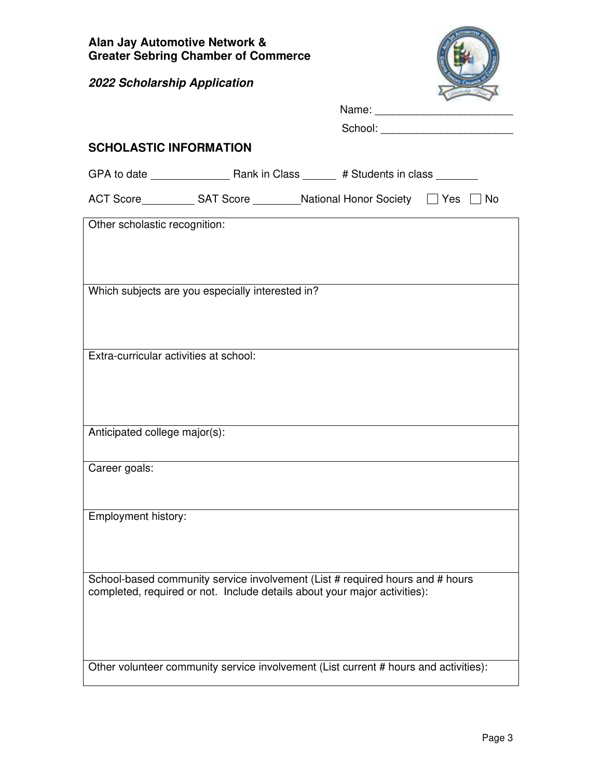

Name: \_\_\_\_\_\_\_\_\_\_\_\_\_\_\_\_\_\_\_\_\_\_\_

| <b>SCHOLASTIC INFORMATION</b>          |                                                  |                                                                                                                                                            |  |
|----------------------------------------|--------------------------------------------------|------------------------------------------------------------------------------------------------------------------------------------------------------------|--|
|                                        |                                                  |                                                                                                                                                            |  |
|                                        |                                                  | ACT Score ____________ SAT Score __________ National Honor Society □ Yes □ No                                                                              |  |
| Other scholastic recognition:          |                                                  |                                                                                                                                                            |  |
|                                        |                                                  |                                                                                                                                                            |  |
|                                        | Which subjects are you especially interested in? |                                                                                                                                                            |  |
|                                        |                                                  |                                                                                                                                                            |  |
|                                        |                                                  |                                                                                                                                                            |  |
| Extra-curricular activities at school: |                                                  |                                                                                                                                                            |  |
|                                        |                                                  |                                                                                                                                                            |  |
|                                        |                                                  |                                                                                                                                                            |  |
| Anticipated college major(s):          |                                                  |                                                                                                                                                            |  |
| Career goals:                          |                                                  |                                                                                                                                                            |  |
|                                        |                                                  |                                                                                                                                                            |  |
| Employment history:                    |                                                  |                                                                                                                                                            |  |
|                                        |                                                  |                                                                                                                                                            |  |
|                                        |                                                  |                                                                                                                                                            |  |
|                                        |                                                  | School-based community service involvement (List # required hours and # hours<br>completed, required or not. Include details about your major activities): |  |
|                                        |                                                  |                                                                                                                                                            |  |
|                                        |                                                  |                                                                                                                                                            |  |
|                                        |                                                  | Other volunteer community service involvement (List current # hours and activities):                                                                       |  |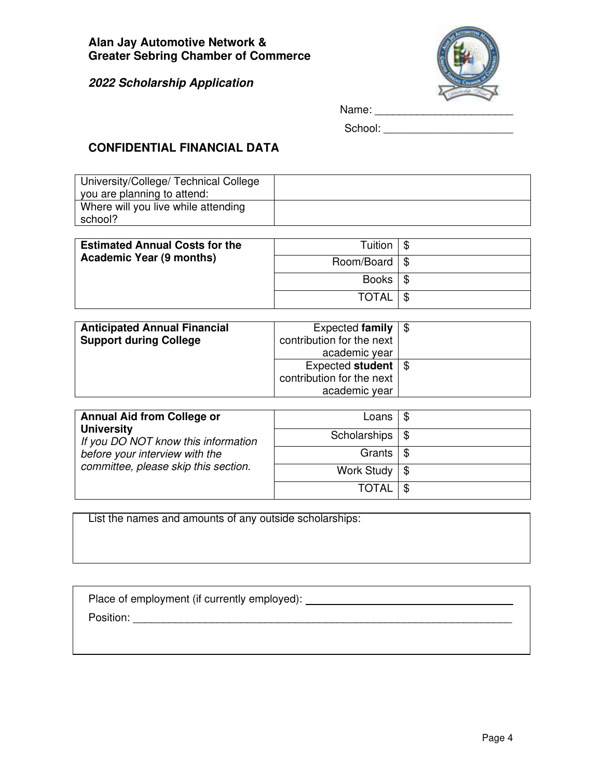

| Name: |  |  |  |  |  |  |  |  |  |  |  |  |
|-------|--|--|--|--|--|--|--|--|--|--|--|--|
|       |  |  |  |  |  |  |  |  |  |  |  |  |

School: \_\_\_\_\_\_\_\_\_\_\_\_\_\_\_\_\_\_\_\_\_\_\_\_

# **CONFIDENTIAL FINANCIAL DATA**

| University/College/ Technical College |  |
|---------------------------------------|--|
| you are planning to attend:           |  |
| Where will you live while attending   |  |
| school?                               |  |

| <b>Estimated Annual Costs for the</b><br><b>Academic Year (9 months)</b> | Tuition             |  |
|--------------------------------------------------------------------------|---------------------|--|
|                                                                          | Room/Board   \$     |  |
|                                                                          | Books $\frac{1}{3}$ |  |
|                                                                          | <b>TOTAL</b>        |  |

| <b>Anticipated Annual Financial</b><br><b>Support during College</b> | Expected family<br>contribution for the next<br>academic year                |  |
|----------------------------------------------------------------------|------------------------------------------------------------------------------|--|
|                                                                      | Expected student $\frac{1}{2}$<br>contribution for the next<br>academic year |  |

| <b>Annual Aid from College or</b><br><b>University</b><br>If you DO NOT know this information<br>before your interview with the<br>committee, please skip this section. | Loans                      |    |
|-------------------------------------------------------------------------------------------------------------------------------------------------------------------------|----------------------------|----|
|                                                                                                                                                                         | Scholarships $\frac{1}{3}$ |    |
|                                                                                                                                                                         | Grants                     | \$ |
|                                                                                                                                                                         | Work Study $\frac{1}{3}$   |    |
|                                                                                                                                                                         | TOTAL                      |    |

List the names and amounts of any outside scholarships:

| Place of employment (if currently employed): |  |
|----------------------------------------------|--|
| Position:                                    |  |
|                                              |  |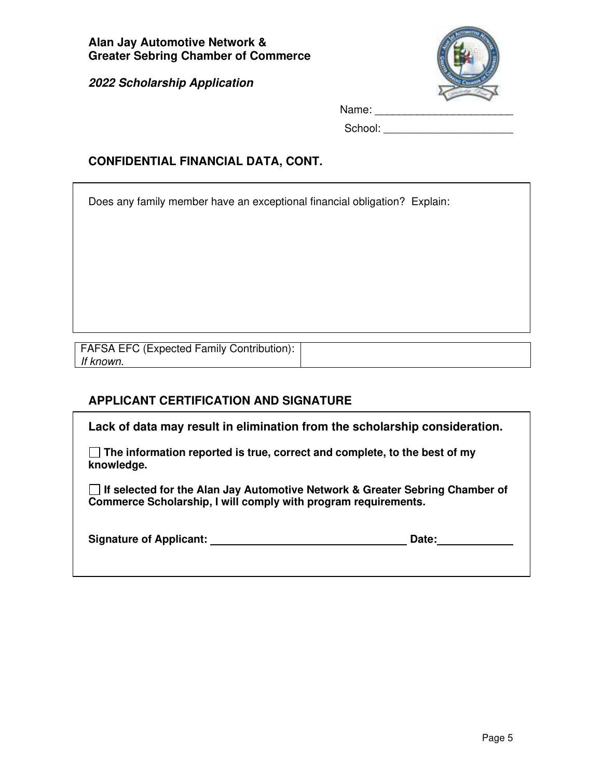

| Name: |  |  |  |
|-------|--|--|--|
|       |  |  |  |

School: \_\_\_\_\_\_\_\_\_\_\_\_\_\_\_\_\_\_\_\_\_\_\_\_

## **CONFIDENTIAL FINANCIAL DATA, CONT.**

Does any family member have an exceptional financial obligation? Explain:

| <b>FAFSA EFC (Expected Family Contribution):</b> |  |
|--------------------------------------------------|--|
| If known.                                        |  |

# **APPLICANT CERTIFICATION AND SIGNATURE**

**Lack of data may result in elimination from the scholarship consideration.** 

 **The information reported is true, correct and complete, to the best of my knowledge.** 

 **If selected for the Alan Jay Automotive Network & Greater Sebring Chamber of Commerce Scholarship, I will comply with program requirements.** 

| <b>Signature of Applicant:</b> | Date: |
|--------------------------------|-------|
|--------------------------------|-------|